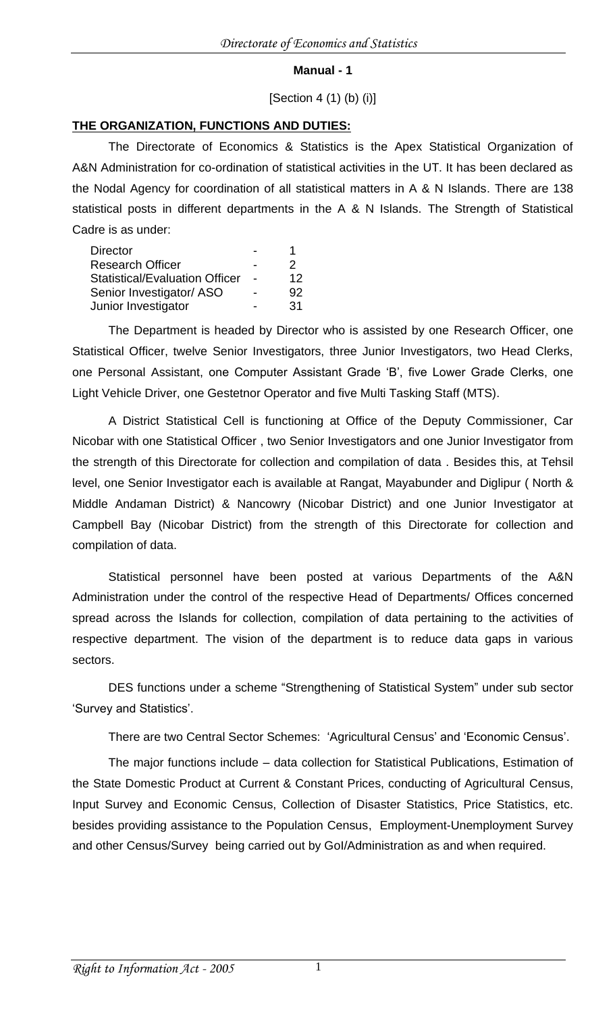#### **Manual - 1**

#### [Section 4 (1) (b) (i)]

#### **THE ORGANIZATION, FUNCTIONS AND DUTIES:**

The Directorate of Economics & Statistics is the Apex Statistical Organization of A&N Administration for co-ordination of statistical activities in the UT. It has been declared as the Nodal Agency for coordination of all statistical matters in A & N Islands. There are 138 statistical posts in different departments in the A & N Islands. The Strength of Statistical Cadre is as under:

| <b>Director</b>                       |    |
|---------------------------------------|----|
| <b>Research Officer</b>               | 2  |
| <b>Statistical/Evaluation Officer</b> | 12 |
| Senior Investigator/ ASO              | 92 |
| Junior Investigator                   | 31 |

The Department is headed by Director who is assisted by one Research Officer, one Statistical Officer, twelve Senior Investigators, three Junior Investigators, two Head Clerks, one Personal Assistant, one Computer Assistant Grade 'B', five Lower Grade Clerks, one Light Vehicle Driver, one Gestetnor Operator and five Multi Tasking Staff (MTS).

A District Statistical Cell is functioning at Office of the Deputy Commissioner, Car Nicobar with one Statistical Officer , two Senior Investigators and one Junior Investigator from the strength of this Directorate for collection and compilation of data . Besides this, at Tehsil level, one Senior Investigator each is available at Rangat, Mayabunder and Diglipur ( North & Middle Andaman District) & Nancowry (Nicobar District) and one Junior Investigator at Campbell Bay (Nicobar District) from the strength of this Directorate for collection and compilation of data.

Statistical personnel have been posted at various Departments of the A&N Administration under the control of the respective Head of Departments/ Offices concerned spread across the Islands for collection, compilation of data pertaining to the activities of respective department. The vision of the department is to reduce data gaps in various sectors.

DES functions under a scheme "Strengthening of Statistical System" under sub sector 'Survey and Statistics'.

There are two Central Sector Schemes: 'Agricultural Census' and 'Economic Census'.

The major functions include – data collection for Statistical Publications, Estimation of the State Domestic Product at Current & Constant Prices, conducting of Agricultural Census, Input Survey and Economic Census, Collection of Disaster Statistics, Price Statistics, etc. besides providing assistance to the Population Census, Employment-Unemployment Survey and other Census/Survey being carried out by GoI/Administration as and when required.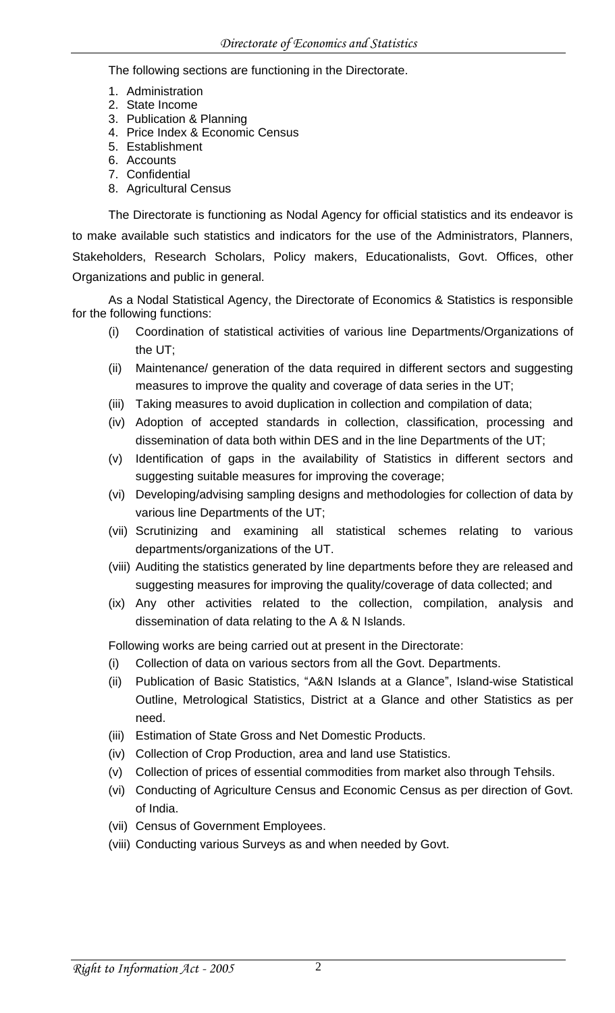The following sections are functioning in the Directorate.

- 1. Administration
- 2. State Income
- 3. Publication & Planning
- 4. Price Index & Economic Census
- 5. Establishment
- 6. Accounts
- 7. Confidential 8. Agricultural Census

The Directorate is functioning as Nodal Agency for official statistics and its endeavor is to make available such statistics and indicators for the use of the Administrators, Planners, Stakeholders, Research Scholars, Policy makers, Educationalists, Govt. Offices, other Organizations and public in general.

As a Nodal Statistical Agency, the Directorate of Economics & Statistics is responsible for the following functions:

- (i) Coordination of statistical activities of various line Departments/Organizations of the UT;
- (ii) Maintenance/ generation of the data required in different sectors and suggesting measures to improve the quality and coverage of data series in the UT;
- (iii) Taking measures to avoid duplication in collection and compilation of data;
- (iv) Adoption of accepted standards in collection, classification, processing and dissemination of data both within DES and in the line Departments of the UT;
- (v) Identification of gaps in the availability of Statistics in different sectors and suggesting suitable measures for improving the coverage;
- (vi) Developing/advising sampling designs and methodologies for collection of data by various line Departments of the UT;
- (vii) Scrutinizing and examining all statistical schemes relating to various departments/organizations of the UT.
- (viii) Auditing the statistics generated by line departments before they are released and suggesting measures for improving the quality/coverage of data collected; and
- (ix) Any other activities related to the collection, compilation, analysis and dissemination of data relating to the A & N Islands.

Following works are being carried out at present in the Directorate:

- (i) Collection of data on various sectors from all the Govt. Departments.
- (ii) Publication of Basic Statistics, "A&N Islands at a Glance", Island-wise Statistical Outline, Metrological Statistics, District at a Glance and other Statistics as per need.
- (iii) Estimation of State Gross and Net Domestic Products.
- (iv) Collection of Crop Production, area and land use Statistics.
- (v) Collection of prices of essential commodities from market also through Tehsils.
- (vi) Conducting of Agriculture Census and Economic Census as per direction of Govt. of India.
- (vii) Census of Government Employees.
- (viii) Conducting various Surveys as and when needed by Govt.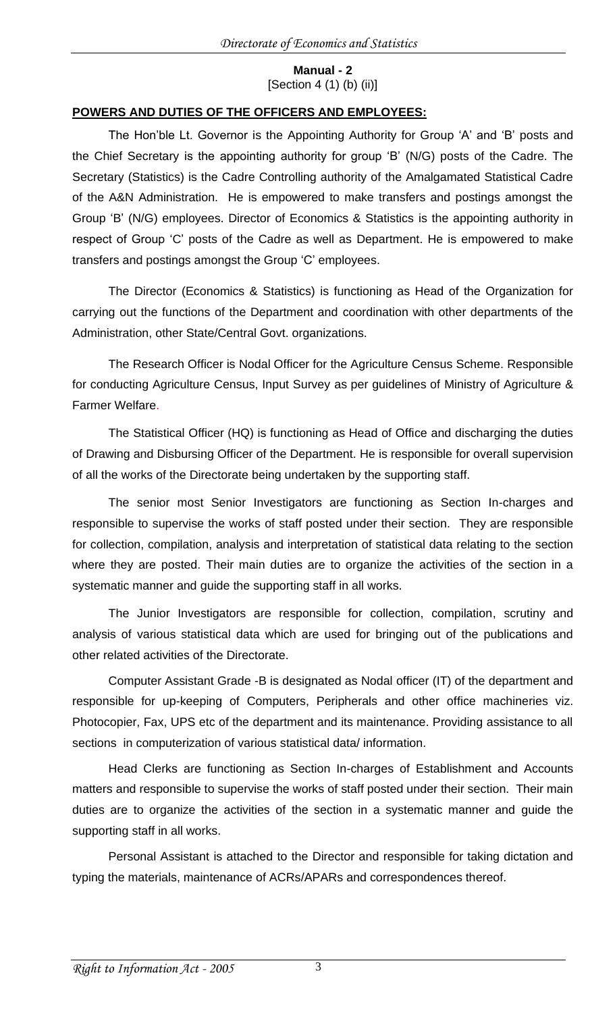**Manual - 2** [Section 4 (1) (b) (ii)]

# **POWERS AND DUTIES OF THE OFFICERS AND EMPLOYEES:**

The Hon'ble Lt. Governor is the Appointing Authority for Group 'A' and 'B' posts and the Chief Secretary is the appointing authority for group 'B' (N/G) posts of the Cadre. The Secretary (Statistics) is the Cadre Controlling authority of the Amalgamated Statistical Cadre of the A&N Administration. He is empowered to make transfers and postings amongst the Group 'B' (N/G) employees. Director of Economics & Statistics is the appointing authority in respect of Group 'C' posts of the Cadre as well as Department. He is empowered to make transfers and postings amongst the Group 'C' employees.

The Director (Economics & Statistics) is functioning as Head of the Organization for carrying out the functions of the Department and coordination with other departments of the Administration, other State/Central Govt. organizations.

The Research Officer is Nodal Officer for the Agriculture Census Scheme. Responsible for conducting Agriculture Census, Input Survey as per guidelines of Ministry of Agriculture & Farmer Welfare.

The Statistical Officer (HQ) is functioning as Head of Office and discharging the duties of Drawing and Disbursing Officer of the Department. He is responsible for overall supervision of all the works of the Directorate being undertaken by the supporting staff.

The senior most Senior Investigators are functioning as Section In-charges and responsible to supervise the works of staff posted under their section. They are responsible for collection, compilation, analysis and interpretation of statistical data relating to the section where they are posted. Their main duties are to organize the activities of the section in a systematic manner and guide the supporting staff in all works.

The Junior Investigators are responsible for collection, compilation, scrutiny and analysis of various statistical data which are used for bringing out of the publications and other related activities of the Directorate.

Computer Assistant Grade -B is designated as Nodal officer (IT) of the department and responsible for up-keeping of Computers, Peripherals and other office machineries viz. Photocopier, Fax, UPS etc of the department and its maintenance. Providing assistance to all sections in computerization of various statistical data/ information.

Head Clerks are functioning as Section In-charges of Establishment and Accounts matters and responsible to supervise the works of staff posted under their section. Their main duties are to organize the activities of the section in a systematic manner and guide the supporting staff in all works.

Personal Assistant is attached to the Director and responsible for taking dictation and typing the materials, maintenance of ACRs/APARs and correspondences thereof.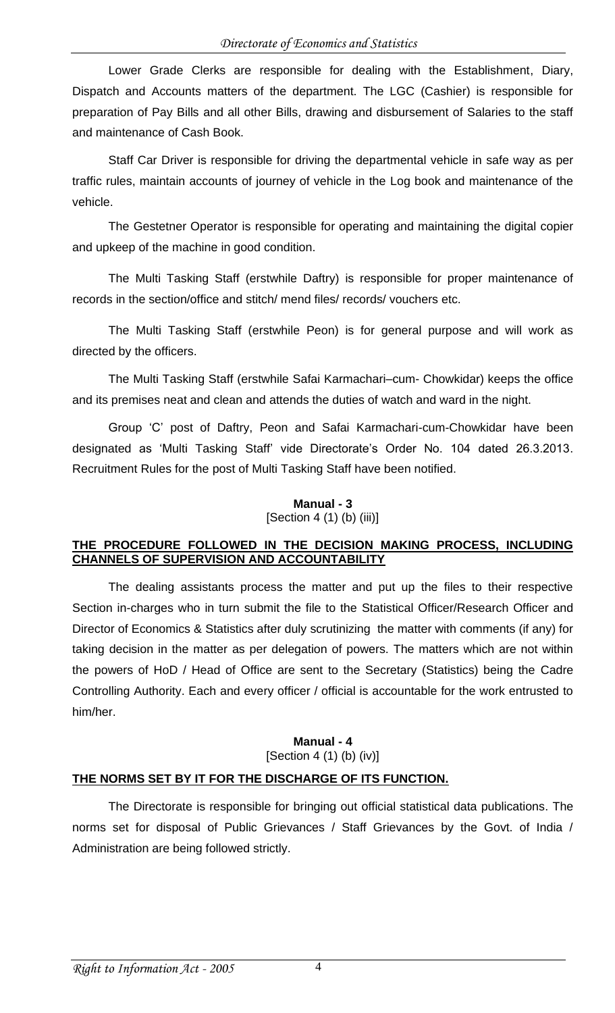Lower Grade Clerks are responsible for dealing with the Establishment, Diary, Dispatch and Accounts matters of the department. The LGC (Cashier) is responsible for preparation of Pay Bills and all other Bills, drawing and disbursement of Salaries to the staff and maintenance of Cash Book.

Staff Car Driver is responsible for driving the departmental vehicle in safe way as per traffic rules, maintain accounts of journey of vehicle in the Log book and maintenance of the vehicle.

The Gestetner Operator is responsible for operating and maintaining the digital copier and upkeep of the machine in good condition.

The Multi Tasking Staff (erstwhile Daftry) is responsible for proper maintenance of records in the section/office and stitch/ mend files/ records/ vouchers etc.

The Multi Tasking Staff (erstwhile Peon) is for general purpose and will work as directed by the officers.

The Multi Tasking Staff (erstwhile Safai Karmachari–cum- Chowkidar) keeps the office and its premises neat and clean and attends the duties of watch and ward in the night.

Group 'C' post of Daftry, Peon and Safai Karmachari-cum-Chowkidar have been designated as 'Multi Tasking Staff' vide Directorate's Order No. 104 dated 26.3.2013. Recruitment Rules for the post of Multi Tasking Staff have been notified.

# **Manual - 3**

[Section 4 (1) (b) (iii)]

## **THE PROCEDURE FOLLOWED IN THE DECISION MAKING PROCESS, INCLUDING CHANNELS OF SUPERVISION AND ACCOUNTABILITY**

The dealing assistants process the matter and put up the files to their respective Section in-charges who in turn submit the file to the Statistical Officer/Research Officer and Director of Economics & Statistics after duly scrutinizing the matter with comments (if any) for taking decision in the matter as per delegation of powers. The matters which are not within the powers of HoD / Head of Office are sent to the Secretary (Statistics) being the Cadre Controlling Authority. Each and every officer / official is accountable for the work entrusted to him/her.

## **Manual - 4** [Section 4 (1) (b) (iv)]

# **THE NORMS SET BY IT FOR THE DISCHARGE OF ITS FUNCTION.**

The Directorate is responsible for bringing out official statistical data publications. The norms set for disposal of Public Grievances / Staff Grievances by the Govt. of India / Administration are being followed strictly.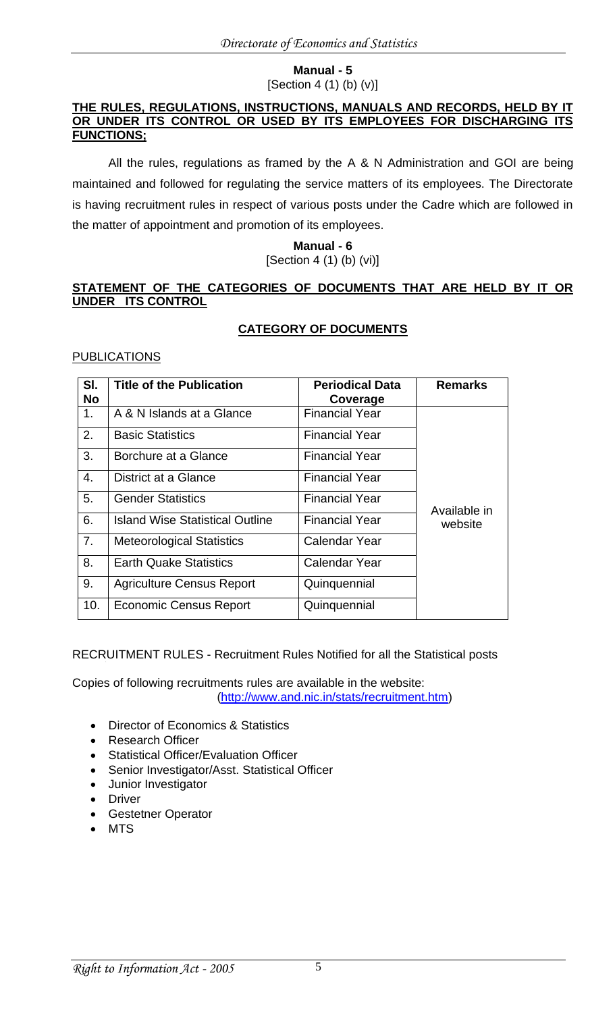#### **Manual - 5**  $[Section 4 (1) (b) (v)]$

#### **THE RULES, REGULATIONS, INSTRUCTIONS, MANUALS AND RECORDS, HELD BY IT OR UNDER ITS CONTROL OR USED BY ITS EMPLOYEES FOR DISCHARGING ITS FUNCTIONS;**

All the rules, regulations as framed by the A & N Administration and GOI are being maintained and followed for regulating the service matters of its employees. The Directorate is having recruitment rules in respect of various posts under the Cadre which are followed in the matter of appointment and promotion of its employees.

## **Manual - 6** [Section 4 (1) (b) (vi)]

## **STATEMENT OF THE CATEGORIES OF DOCUMENTS THAT ARE HELD BY IT OR UNDER ITS CONTROL**

# **CATEGORY OF DOCUMENTS**

## PUBLICATIONS

| SI.<br><b>No</b> | <b>Title of the Publication</b>        | <b>Periodical Data</b><br>Coverage | <b>Remarks</b> |
|------------------|----------------------------------------|------------------------------------|----------------|
| 1.               | A & N Islands at a Glance              | <b>Financial Year</b>              |                |
| 2.               | <b>Basic Statistics</b>                | <b>Financial Year</b>              |                |
| 3.               | Borchure at a Glance                   | <b>Financial Year</b>              |                |
| 4.               | District at a Glance                   | <b>Financial Year</b>              |                |
| 5.               | <b>Gender Statistics</b>               | <b>Financial Year</b>              | Available in   |
| 6.               | <b>Island Wise Statistical Outline</b> | <b>Financial Year</b>              | website        |
| 7.               | <b>Meteorological Statistics</b>       | <b>Calendar Year</b>               |                |
| 8.               | <b>Earth Quake Statistics</b>          | <b>Calendar Year</b>               |                |
| 9.               | <b>Agriculture Census Report</b>       | Quinquennial                       |                |
| 10.              | <b>Economic Census Report</b>          | Quinquennial                       |                |

RECRUITMENT RULES - Recruitment Rules Notified for all the Statistical posts

Copies of following recruitments rules are available in the website: [\(http://www.and.nic.in/stats/recruitment.htm\)](http://www.and.nic.in/stats/recruitment.htm)

- Director of Economics & Statistics
- Research Officer
- Statistical Officer/Evaluation Officer
- Senior Investigator/Asst. Statistical Officer
- Junior Investigator
- Driver
- Gestetner Operator
- MTS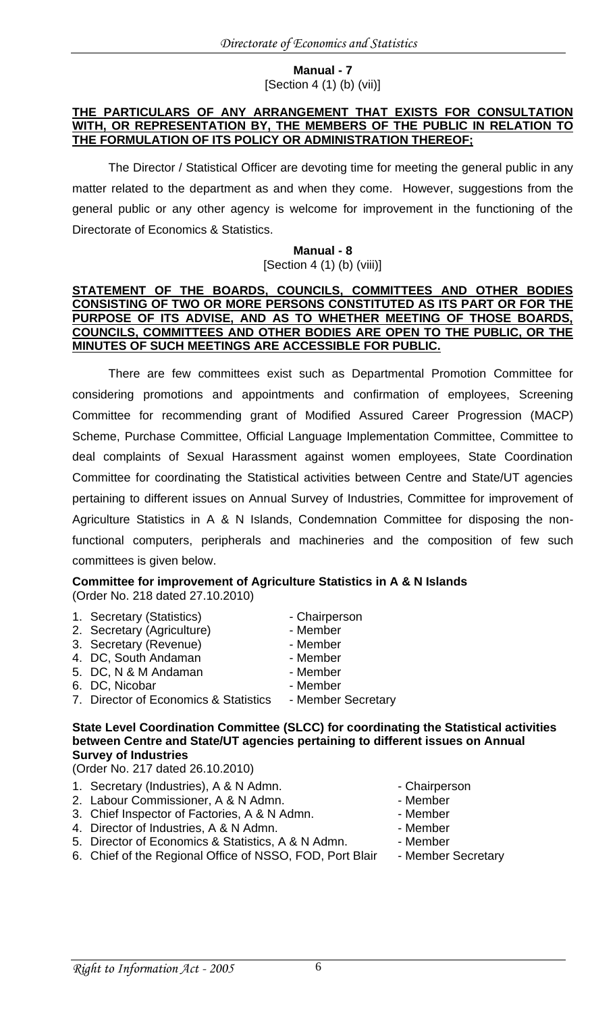#### **Manual - 7** [Section 4 (1) (b) (vii)]

#### **THE PARTICULARS OF ANY ARRANGEMENT THAT EXISTS FOR CONSULTATION WITH, OR REPRESENTATION BY, THE MEMBERS OF THE PUBLIC IN RELATION TO THE FORMULATION OF ITS POLICY OR ADMINISTRATION THEREOF;**

The Director / Statistical Officer are devoting time for meeting the general public in any matter related to the department as and when they come. However, suggestions from the general public or any other agency is welcome for improvement in the functioning of the Directorate of Economics & Statistics.

#### **Manual - 8** [Section 4 (1) (b) (viii)]

#### **STATEMENT OF THE BOARDS, COUNCILS, COMMITTEES AND OTHER BODIES CONSISTING OF TWO OR MORE PERSONS CONSTITUTED AS ITS PART OR FOR THE PURPOSE OF ITS ADVISE, AND AS TO WHETHER MEETING OF THOSE BOARDS, COUNCILS, COMMITTEES AND OTHER BODIES ARE OPEN TO THE PUBLIC, OR THE MINUTES OF SUCH MEETINGS ARE ACCESSIBLE FOR PUBLIC.**

There are few committees exist such as Departmental Promotion Committee for considering promotions and appointments and confirmation of employees, Screening Committee for recommending grant of Modified Assured Career Progression (MACP) Scheme, Purchase Committee, Official Language Implementation Committee, Committee to deal complaints of Sexual Harassment against women employees, State Coordination Committee for coordinating the Statistical activities between Centre and State/UT agencies pertaining to different issues on Annual Survey of Industries, Committee for improvement of Agriculture Statistics in A & N Islands, Condemnation Committee for disposing the nonfunctional computers, peripherals and machineries and the composition of few such committees is given below.

#### **Committee for improvement of Agriculture Statistics in A & N Islands**  (Order No. 218 dated 27.10.2010)

1. Secretary (Statistics) **- Chairperson** 2. Secretary (Agriculture) - Member 3. Secretary (Revenue) - Member 4. DC, South Andaman - Member 5. DC, N & M Andaman - Member 6. DC, Nicobar - Member 7. Director of Economics & Statistics - Member Secretary

#### **State Level Coordination Committee (SLCC) for coordinating the Statistical activities between Centre and State/UT agencies pertaining to different issues on Annual Survey of Industries**

(Order No. 217 dated 26.10.2010)

- 1. Secretary (Industries), A & N Admn. The Secretary Chairperson
- 2. Labour Commissioner, A & N Admn. The Member of Member
- 3. Chief Inspector of Factories, A & N Admn. Member
- 4. Director of Industries, A & N Admn. The Member
- 5. Director of Economics & Statistics, A & N Admn. Member
- 6. Chief of the Regional Office of NSSO, FOD, Port Blair Member Secretary
- 
- 
- 
- 
- -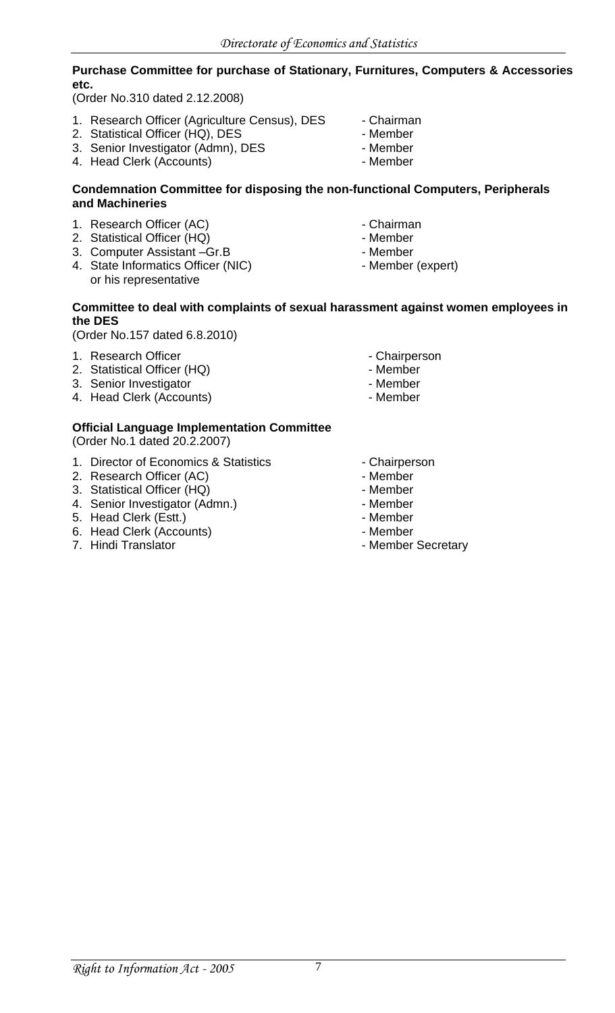### **Purchase Committee for purchase of Stationary, Furnitures, Computers & Accessories etc.**

(Order No.310 dated 2.12.2008)

- 1. Research Officer (Agriculture Census), DES Chairman
- 2. Statistical Officer (HQ), DES Member
- 3. Senior Investigator (Admn), DES Member
- 4. Head Clerk (Accounts)  **Member**
- 
- 
- 
- 

#### **Condemnation Committee for disposing the non-functional Computers, Peripherals and Machineries**

- 1. Research Officer (AC)  **Chairman**
- 2. Statistical Officer (HQ) Member
- 3. Computer Assistant –Gr.B Member
- 4. State Informatics Officer (NIC) Member (expert) or his representative
- 
- 
- 
- 

#### **Committee to deal with complaints of sexual harassment against women employees in the DES**

(Order No.157 dated 6.8.2010)

- 1. Research Officer  **Chairperson**
- 2. Statistical Officer (HQ) Case Control of the Member
- 3. Senior Investigator **Contact Structure 12. Senior Investigator Member**
- 4. Head Clerk (Accounts)  **Member**
- 
- 
- -

## **Official Language Implementation Committee**

(Order No.1 dated 20.2.2007)

- 1. Director of Economics & Statistics Chairperson
- 2. Research Officer (AC)  **Member**
- 3. Statistical Officer (HQ) Member
- 4. Senior Investigator (Admn.) The Contract of the Member
- 5. Head Clerk (Estt.) **Fig. 2018** Member
- 6. Head Clerk (Accounts)  **Member**
- 
- 
- 
- 
- 
- 
- 
- 7. Hindi Translator **Matter Secretary** Member Secretary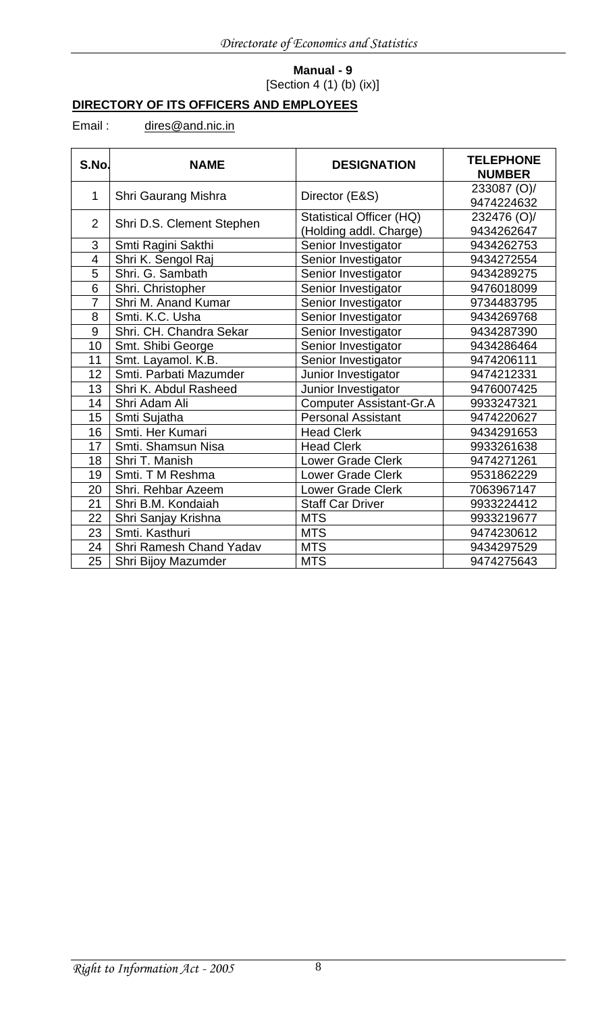## **Manual - 9** [Section 4 (1) (b) (ix)]

# **DIRECTORY OF ITS OFFICERS AND EMPLOYEES**

## Email: [dires@and.nic.in](mailto:dires@and.nic.in)

| S.No.           | <b>NAME</b>               | <b>DESIGNATION</b>                                        | <b>TELEPHONE</b><br><b>NUMBER</b> |
|-----------------|---------------------------|-----------------------------------------------------------|-----------------------------------|
| $\mathbf{1}$    | Shri Gaurang Mishra       | Director (E&S)                                            | 233087 (O)/<br>9474224632         |
| $\overline{2}$  | Shri D.S. Clement Stephen | <b>Statistical Officer (HQ)</b><br>(Holding addl. Charge) | 232476 (O)/<br>9434262647         |
| 3               | Smti Ragini Sakthi        | Senior Investigator                                       | 9434262753                        |
| 4               | Shri K. Sengol Raj        | Senior Investigator                                       | 9434272554                        |
| 5               | Shri. G. Sambath          | Senior Investigator                                       | 9434289275                        |
| $\overline{6}$  | Shri. Christopher         | Senior Investigator                                       | 9476018099                        |
| $\overline{7}$  | Shri M. Anand Kumar       | Senior Investigator                                       | 9734483795                        |
| 8               | Smti. K.C. Usha           | Senior Investigator                                       | 9434269768                        |
| 9               | Shri. CH. Chandra Sekar   | Senior Investigator                                       | 9434287390                        |
| 10              | Smt. Shibi George         | Senior Investigator                                       | 9434286464                        |
| 11              | Smt. Layamol. K.B.        | Senior Investigator                                       | 9474206111                        |
| 12              | Smti. Parbati Mazumder    | Junior Investigator                                       | 9474212331                        |
| 13              | Shri K. Abdul Rasheed     | Junior Investigator                                       | 9476007425                        |
| 14              | Shri Adam Ali             | <b>Computer Assistant-Gr.A</b>                            | 9933247321                        |
| 15              | Smti Sujatha              | <b>Personal Assistant</b>                                 | 9474220627                        |
| 16              | Smti. Her Kumari          | <b>Head Clerk</b>                                         | 9434291653                        |
| 17              | Smti. Shamsun Nisa        | <b>Head Clerk</b>                                         | 9933261638                        |
| 18              | Shri T. Manish            | Lower Grade Clerk                                         | 9474271261                        |
| 19              | Smti. T M Reshma          | <b>Lower Grade Clerk</b>                                  | 9531862229                        |
| 20              | Shri. Rehbar Azeem        | <b>Lower Grade Clerk</b>                                  | 7063967147                        |
| 21              | Shri B.M. Kondaiah        | <b>Staff Car Driver</b>                                   | 9933224412                        |
| $\overline{22}$ | Shri Sanjay Krishna       | <b>MTS</b>                                                | 9933219677                        |
| 23              | Smti. Kasthuri            | <b>MTS</b>                                                | 9474230612                        |
| 24              | Shri Ramesh Chand Yadav   | <b>MTS</b>                                                | 9434297529                        |
| 25              | Shri Bijoy Mazumder       | <b>MTS</b>                                                | 9474275643                        |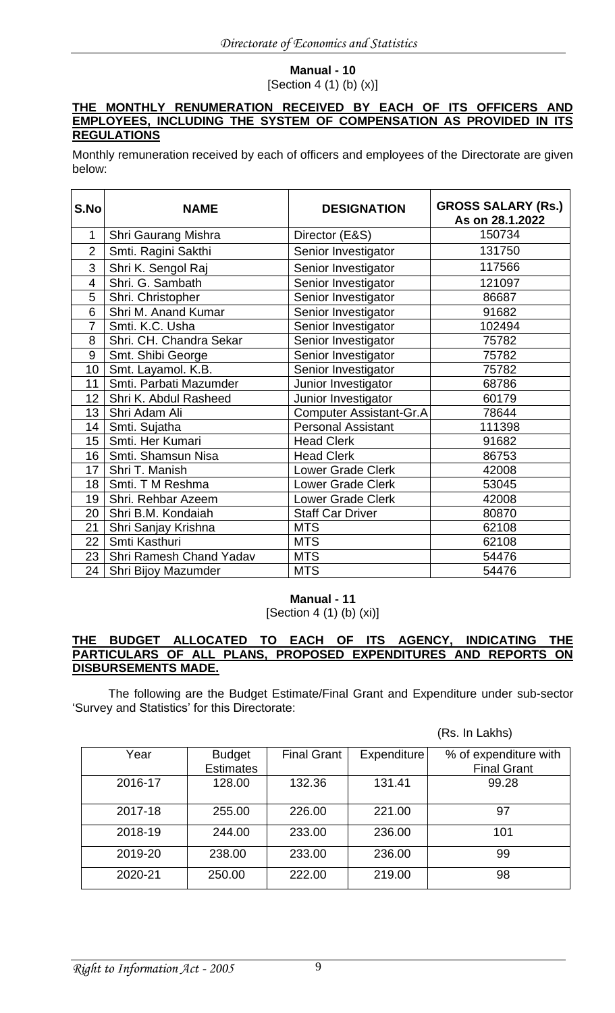# **Manual - 10**

[Section 4 (1) (b) (x)]

#### **THE MONTHLY RENUMERATION RECEIVED BY EACH OF ITS OFFICERS AND EMPLOYEES, INCLUDING THE SYSTEM OF COMPENSATION AS PROVIDED IN ITS REGULATIONS**

Monthly remuneration received by each of officers and employees of the Directorate are given below:

| S.No            | <b>NAME</b>             | <b>DESIGNATION</b>             | <b>GROSS SALARY (Rs.)</b><br>As on 28.1.2022 |
|-----------------|-------------------------|--------------------------------|----------------------------------------------|
| 1               | Shri Gaurang Mishra     | Director (E&S)                 | 150734                                       |
| $\overline{2}$  | Smti. Ragini Sakthi     | Senior Investigator            | 131750                                       |
| 3               | Shri K. Sengol Raj      | Senior Investigator            | 117566                                       |
| 4               | Shri. G. Sambath        | Senior Investigator            | 121097                                       |
| 5               | Shri. Christopher       | Senior Investigator            | 86687                                        |
| 6               | Shri M. Anand Kumar     | Senior Investigator            | 91682                                        |
| 7               | Smti. K.C. Usha         | Senior Investigator            | 102494                                       |
| 8               | Shri. CH. Chandra Sekar | Senior Investigator            | 75782                                        |
| 9               | Smt. Shibi George       | Senior Investigator            | 75782                                        |
| 10              | Smt. Layamol. K.B.      | Senior Investigator            | 75782                                        |
| 11              | Smti. Parbati Mazumder  | Junior Investigator            | 68786                                        |
| 12 <sub>2</sub> | Shri K. Abdul Rasheed   | Junior Investigator            | 60179                                        |
| 13 <sup>°</sup> | Shri Adam Ali           | <b>Computer Assistant-Gr.A</b> | 78644                                        |
| 14              | Smti. Sujatha           | <b>Personal Assistant</b>      | 111398                                       |
| 15 <sub>1</sub> | Smti. Her Kumari        | <b>Head Clerk</b>              | 91682                                        |
| 16 <sup>°</sup> | Smti. Shamsun Nisa      | <b>Head Clerk</b>              | 86753                                        |
| 17              | Shri T. Manish          | Lower Grade Clerk              | 42008                                        |
| 18              | Smti. T M Reshma        | <b>Lower Grade Clerk</b>       | 53045                                        |
| 19              | Shri. Rehbar Azeem      | <b>Lower Grade Clerk</b>       | 42008                                        |
| 20              | Shri B.M. Kondaiah      | <b>Staff Car Driver</b>        | 80870                                        |
| 21              | Shri Sanjay Krishna     | <b>MTS</b>                     | 62108                                        |
| 22              | Smti Kasthuri           | <b>MTS</b>                     | 62108                                        |
| 23              | Shri Ramesh Chand Yadav | <b>MTS</b>                     | 54476                                        |
| 24              | Shri Bijoy Mazumder     | <b>MTS</b>                     | 54476                                        |

## **Manual - 11**

[Section 4 (1) (b) (xi)]

#### **THE BUDGET ALLOCATED TO EACH OF ITS AGENCY, INDICATING THE PARTICULARS OF ALL PLANS, PROPOSED EXPENDITURES AND REPORTS ON DISBURSEMENTS MADE.**

The following are the Budget Estimate/Final Grant and Expenditure under sub-sector 'Survey and Statistics' for this Directorate:

(Rs. In Lakhs)

| Year    | <b>Budget</b><br><b>Estimates</b> | <b>Final Grant</b> | Expenditure | % of expenditure with<br><b>Final Grant</b> |
|---------|-----------------------------------|--------------------|-------------|---------------------------------------------|
| 2016-17 | 128.00                            | 132.36             | 131.41      | 99.28                                       |
| 2017-18 | 255.00                            | 226.00             | 221.00      | 97                                          |
| 2018-19 | 244.00                            | 233.00             | 236.00      | 101                                         |
| 2019-20 | 238.00                            | 233.00             | 236.00      | 99                                          |
| 2020-21 | 250.00                            | 222.00             | 219.00      | 98                                          |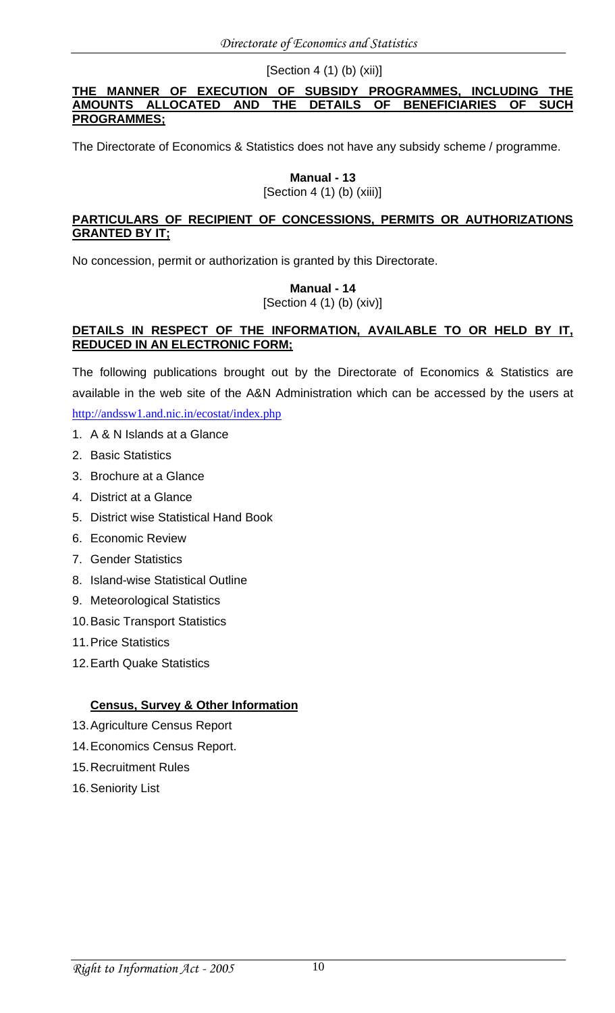[Section 4 (1) (b) (xii)]

#### **THE MANNER OF EXECUTION OF SUBSIDY PROGRAMMES, INCLUDING THE AMOUNTS ALLOCATED AND THE DETAILS OF BENEFICIARIES OF SUCH PROGRAMMES;**

The Directorate of Economics & Statistics does not have any subsidy scheme / programme.

# **Manual - 13**

[Section 4 (1) (b) (xiii)]

#### **PARTICULARS OF RECIPIENT OF CONCESSIONS, PERMITS OR AUTHORIZATIONS GRANTED BY IT;**

No concession, permit or authorization is granted by this Directorate.

**Manual - 14** [Section 4 (1) (b) (xiv)]

### **DETAILS IN RESPECT OF THE INFORMATION, AVAILABLE TO OR HELD BY IT, REDUCED IN AN ELECTRONIC FORM;**

The following publications brought out by the Directorate of Economics & Statistics are available in the web site of the A&N Administration which can be accessed by the users at <http://andssw1.and.nic.in/ecostat/index.php>

- 1. A & N Islands at a Glance
- 2. Basic Statistics
- 3. Brochure at a Glance
- 4. District at a Glance
- 5. District wise Statistical Hand Book
- 6. Economic Review
- 7. Gender Statistics
- 8. Island-wise Statistical Outline
- 9. Meteorological Statistics
- 10.Basic Transport Statistics
- 11.Price Statistics
- 12.Earth Quake Statistics

## **Census, Survey & Other Information**

- 13.Agriculture Census Report
- 14.Economics Census Report.
- 15.Recruitment Rules
- 16.Seniority List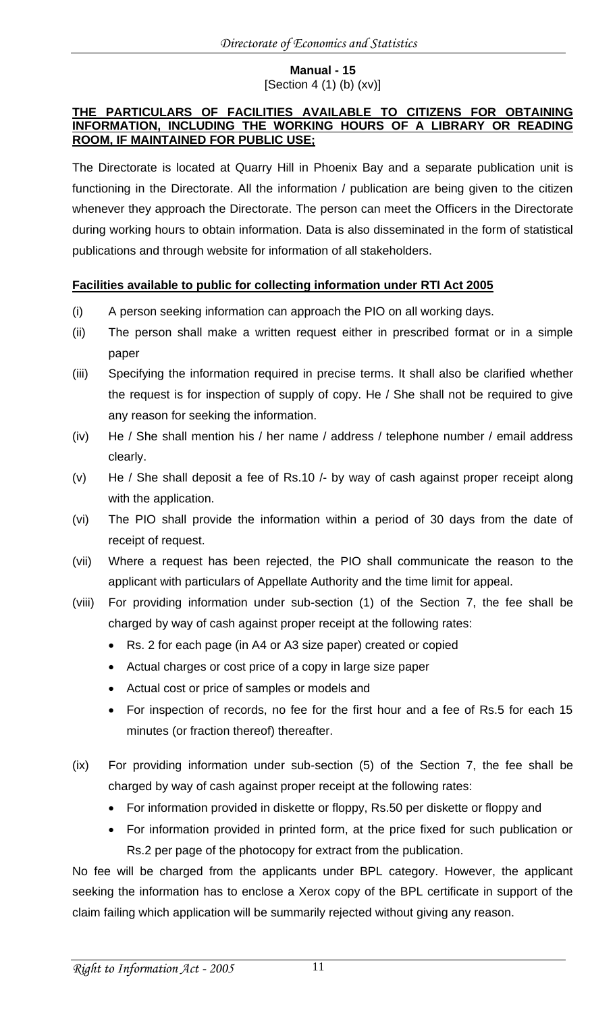#### **Manual - 15** [Section 4  $(1)$  (b)  $(xv)$ ]

#### **THE PARTICULARS OF FACILITIES AVAILABLE TO CITIZENS FOR OBTAINING INFORMATION, INCLUDING THE WORKING HOURS OF A LIBRARY OR READING ROOM, IF MAINTAINED FOR PUBLIC USE;**

The Directorate is located at Quarry Hill in Phoenix Bay and a separate publication unit is functioning in the Directorate. All the information / publication are being given to the citizen whenever they approach the Directorate. The person can meet the Officers in the Directorate during working hours to obtain information. Data is also disseminated in the form of statistical publications and through website for information of all stakeholders.

## **Facilities available to public for collecting information under RTI Act 2005**

- (i) A person seeking information can approach the PIO on all working days.
- (ii) The person shall make a written request either in prescribed format or in a simple paper
- (iii) Specifying the information required in precise terms. It shall also be clarified whether the request is for inspection of supply of copy. He / She shall not be required to give any reason for seeking the information.
- (iv) He / She shall mention his / her name / address / telephone number / email address clearly.
- (v) He / She shall deposit a fee of Rs.10 /- by way of cash against proper receipt along with the application.
- (vi) The PIO shall provide the information within a period of 30 days from the date of receipt of request.
- (vii) Where a request has been rejected, the PIO shall communicate the reason to the applicant with particulars of Appellate Authority and the time limit for appeal.
- (viii) For providing information under sub-section (1) of the Section 7, the fee shall be charged by way of cash against proper receipt at the following rates:
	- Rs. 2 for each page (in A4 or A3 size paper) created or copied
	- Actual charges or cost price of a copy in large size paper
	- Actual cost or price of samples or models and
	- For inspection of records, no fee for the first hour and a fee of Rs.5 for each 15 minutes (or fraction thereof) thereafter.
- (ix) For providing information under sub-section (5) of the Section 7, the fee shall be charged by way of cash against proper receipt at the following rates:
	- For information provided in diskette or floppy, Rs.50 per diskette or floppy and
	- For information provided in printed form, at the price fixed for such publication or Rs.2 per page of the photocopy for extract from the publication.

No fee will be charged from the applicants under BPL category. However, the applicant seeking the information has to enclose a Xerox copy of the BPL certificate in support of the claim failing which application will be summarily rejected without giving any reason.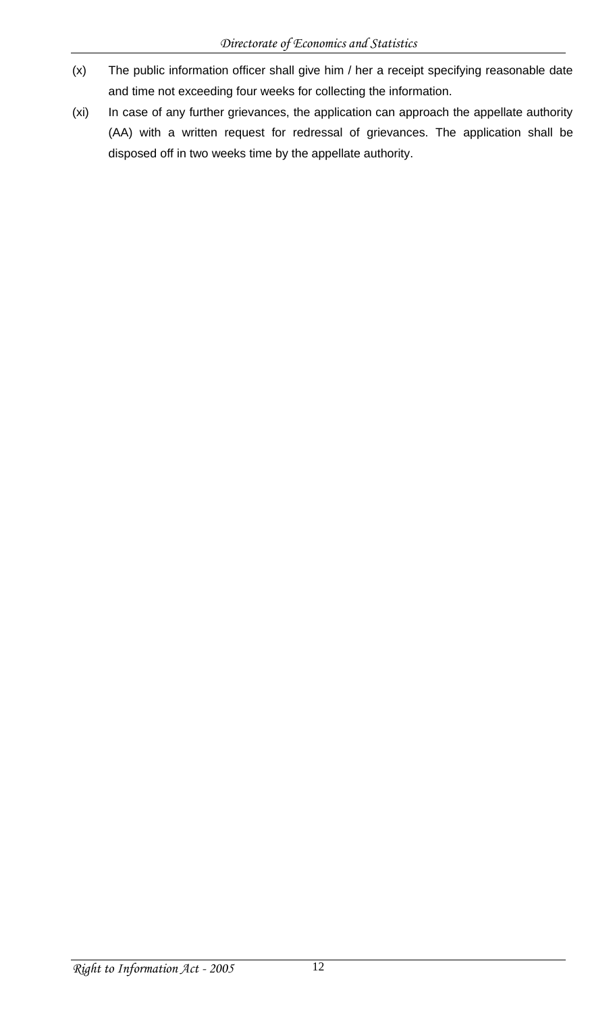- (x) The public information officer shall give him / her a receipt specifying reasonable date and time not exceeding four weeks for collecting the information.
- (xi) In case of any further grievances, the application can approach the appellate authority (AA) with a written request for redressal of grievances. The application shall be disposed off in two weeks time by the appellate authority.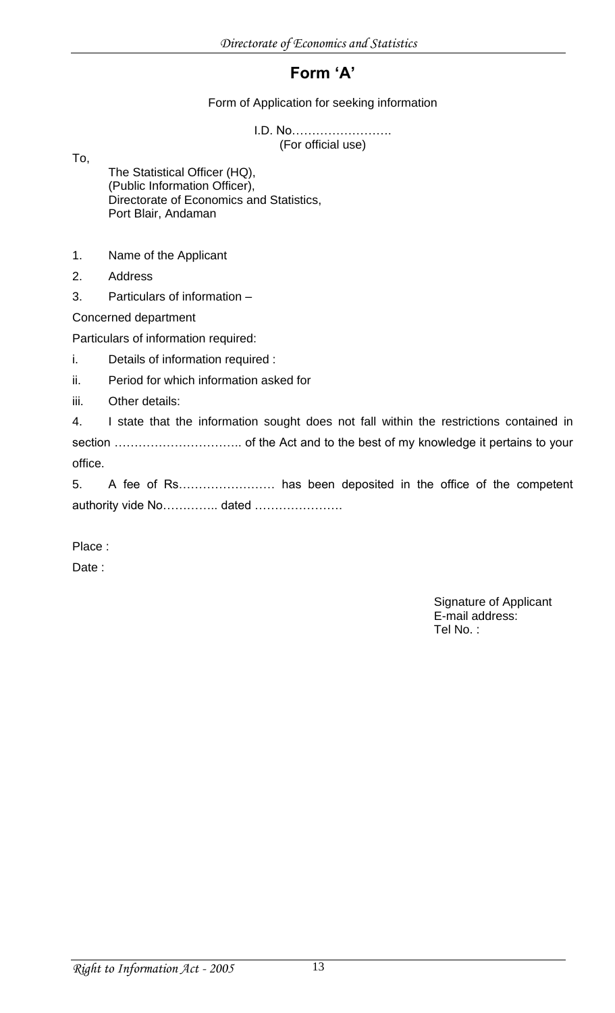# **Form 'A'**

### Form of Application for seeking information

I.D. No……………………. (For official use)

To,

The Statistical Officer (HQ), (Public Information Officer), Directorate of Economics and Statistics, Port Blair, Andaman

- 1. Name of the Applicant
- 2. Address
- 3. Particulars of information –

Concerned department

Particulars of information required:

- i. Details of information required :
- ii. Period for which information asked for
- iii. Other details:

4. I state that the information sought does not fall within the restrictions contained in section ………………………….. of the Act and to the best of my knowledge it pertains to your office.

5. A fee of Rs…………………… has been deposited in the office of the competent authority vide No………….. dated …………………

Place :

Date :

Signature of Applicant E-mail address: Tel No. :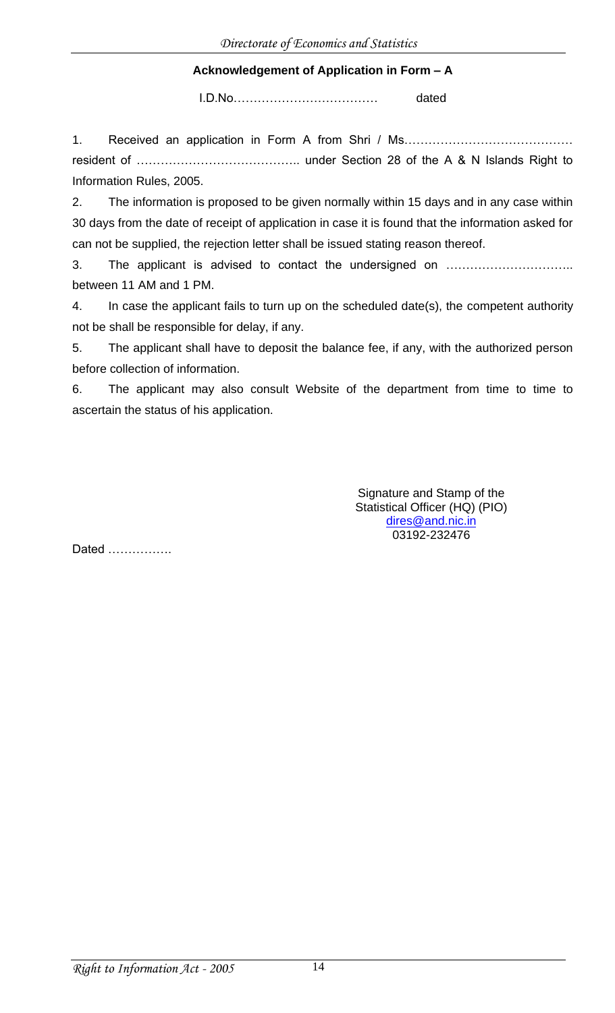## **Acknowledgement of Application in Form – A**

I.D.No……………………………… dated

1. Received an application in Form A from Shri / Ms…………………………………… resident of ………………………………….. under Section 28 of the A & N Islands Right to Information Rules, 2005.

2. The information is proposed to be given normally within 15 days and in any case within 30 days from the date of receipt of application in case it is found that the information asked for can not be supplied, the rejection letter shall be issued stating reason thereof.

3. The applicant is advised to contact the undersigned on ………………………….. between 11 AM and 1 PM.

4. In case the applicant fails to turn up on the scheduled date(s), the competent authority not be shall be responsible for delay, if any.

5. The applicant shall have to deposit the balance fee, if any, with the authorized person before collection of information.

6. The applicant may also consult Website of the department from time to time to ascertain the status of his application.

> Signature and Stamp of the Statistical Officer (HQ) (PIO) [dires@and.nic.in](mailto:dires@and.nic.in) 03192-232476

Dated …………….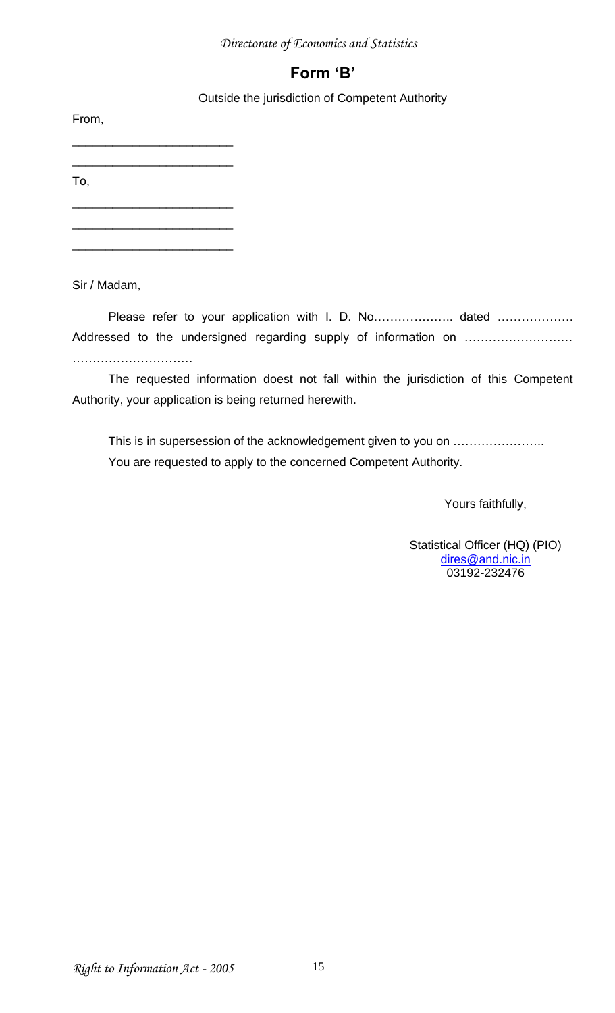# **Form 'B'**

Outside the jurisdiction of Competent Authority

From,

\_\_\_\_\_\_\_\_\_\_\_\_\_\_\_\_\_\_\_\_\_\_\_\_ \_\_\_\_\_\_\_\_\_\_\_\_\_\_\_\_\_\_\_\_\_\_\_\_

To,

\_\_\_\_\_\_\_\_\_\_\_\_\_\_\_\_\_\_\_\_\_\_\_\_ \_\_\_\_\_\_\_\_\_\_\_\_\_\_\_\_\_\_\_\_\_\_\_\_

\_\_\_\_\_\_\_\_\_\_\_\_\_\_\_\_\_\_\_\_\_\_\_\_

Sir / Madam,

Please refer to your application with I. D. No…………………… dated ………………… Addressed to the undersigned regarding supply of information on ……………………… …………………………

The requested information doest not fall within the jurisdiction of this Competent Authority, your application is being returned herewith.

This is in supersession of the acknowledgement given to you on ....................... You are requested to apply to the concerned Competent Authority.

Yours faithfully,

Statistical Officer (HQ) (PIO) [dires@and.nic.in](mailto:dires@and.nic.in) 03192-232476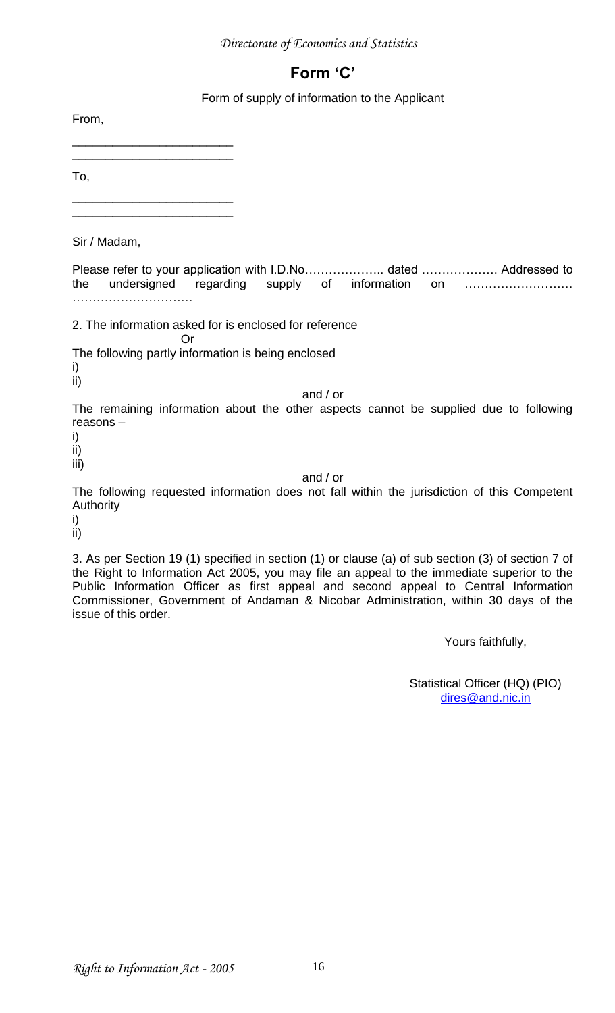# **Form 'C'**

Form of supply of information to the Applicant

From,

\_\_\_\_\_\_\_\_\_\_\_\_\_\_\_\_\_\_\_\_\_\_\_\_ \_\_\_\_\_\_\_\_\_\_\_\_\_\_\_\_\_\_\_\_\_\_\_\_

To,

\_\_\_\_\_\_\_\_\_\_\_\_\_\_\_\_\_\_\_\_\_\_\_\_ \_\_\_\_\_\_\_\_\_\_\_\_\_\_\_\_\_\_\_\_\_\_\_\_

Sir / Madam,

Please refer to your application with I.D.No………………… dated ………………… Addressed to the undersigned regarding supply of information on ……………………… …………………………

2. The information asked for is enclosed for reference

The following partly information is being enclosed

Or

i) ii)

and / or

The remaining information about the other aspects cannot be supplied due to following reasons –

i)

ii)

iii)

and / or

The following requested information does not fall within the jurisdiction of this Competent Authority

i)

ii)

3. As per Section 19 (1) specified in section (1) or clause (a) of sub section (3) of section 7 of the Right to Information Act 2005, you may file an appeal to the immediate superior to the Public Information Officer as first appeal and second appeal to Central Information Commissioner, Government of Andaman & Nicobar Administration, within 30 days of the issue of this order.

Yours faithfully,

Statistical Officer (HQ) (PIO) [dires@and.nic.in](mailto:dires@and.nic.in)